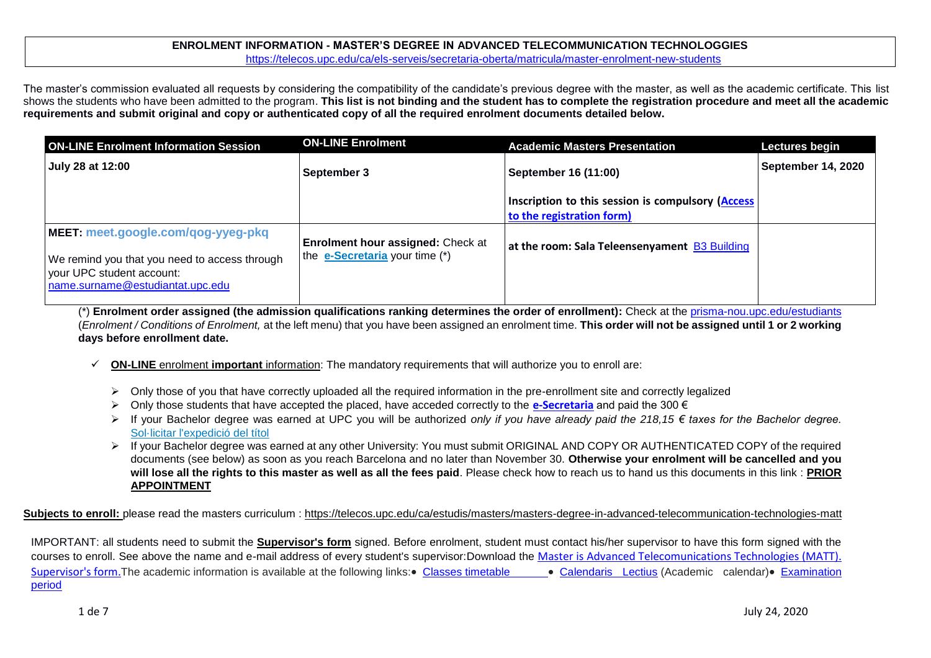### **ENROLMENT INFORMATION - MASTER'S DEGREE IN ADVANCED TELECOMMUNICATION TECHNOLOGGIES** <https://telecos.upc.edu/ca/els-serveis/secretaria-oberta/matricula/master-enrolment-new-students>

The master's commission evaluated all requests by considering the compatibility of the candidate's previous degree with the master, as well as the academic certificate. This list shows the students who have been admitted to the program. **This list is not binding and the student has to complete the registration procedure and meet all the academic requirements and submit original and copy or authenticated copy of all the required enrolment documents detailed below.**

| <b>ON-LINE Enrolment Information Session</b>                                                                                                         | <b>ON-LINE Enrolment</b>                                                   | <b>Academic Masters Presentation</b>                                           | Lectures begin            |
|------------------------------------------------------------------------------------------------------------------------------------------------------|----------------------------------------------------------------------------|--------------------------------------------------------------------------------|---------------------------|
| July 28 at 12:00                                                                                                                                     | September 3                                                                | September 16 (11:00)                                                           | <b>September 14, 2020</b> |
|                                                                                                                                                      |                                                                            | Inscription to this session is compulsory (Access<br>to the registration form) |                           |
| MEET: meet.google.com/qog-yyeg-pkq<br>We remind you that you need to access through<br>your UPC student account:<br>name.surname@estudiantat.upc.edu | <b>Enrolment hour assigned: Check at</b><br>the e-Secretaria your time (*) | at the room: Sala Teleensenyament B3 Building                                  |                           |

(\*) **Enrolment order assigned (the admission qualifications ranking determines the order of enrollment):** Check at the [prisma-nou.upc.edu/estudiants](http://prisma-nou.upc.edu/estudiants) (*Enrolment / Conditions of Enrolment,* at the left menu) that you have been assigned an enrolment time. **This order will not be assigned until 1 or 2 working days before enrollment date.**

- **ON-LINE** enrolment **important** information: The mandatory requirements that will authorize you to enroll are:
	- $\triangleright$  Only those of you that have correctly uploaded all the required information in the pre-enrollment site and correctly legalized
	- Only those students that have accepted the placed, have acceded correctly to the **[e-Secretaria](https://prisma-nou.upc.edu/apl/home_estudiants.php)** and paid the 300 €
	- If your Bachelor degree was earned at UPC you will be authorized *only if you have already paid the 218,15 € taxes for the Bachelor degree.* [Sol·licitar l'expedició del títol](https://telecos.upc.edu/ca/els-serveis/secretaria-oberta/certificats/titol-i-suplement-europeu-al-titol#section-1)
	- > If your Bachelor degree was earned at any other University: You must submit ORIGINAL AND COPY OR AUTHENTICATED COPY of the required documents (see below) as soon as you reach Barcelona and no later than November 30. **Otherwise your enrolment will be cancelled and you will lose all the rights to this master as well as all the fees paid**. Please check how to reach us to hand us this documents in this link : **[PRIOR](https://telecos.upc.edu/ca/els-serveis/secretaria-oberta/cita-previa)  [APPOINTMENT](https://telecos.upc.edu/ca/els-serveis/secretaria-oberta/cita-previa)**

Subjects to enroll: please read the masters curriculum : https://telecos.upc.edu/ca/estudis/masters/masters-degree-in-advanced-telecommunication-technologies-matt

IMPORTANT: all students need to submit the **Supervisor's form** signed. Before enrolment, student must contact his/her supervisor to have this form signed with the courses to enroll. See above the name and e-mail address of every student's supervisor:Download the [Master is Advanced Telecomunications Technologies \(MATT\).](https://telecos.upc.edu/ca/shared/secretaria-oberta/matt-supervisor-form.doc)  [Supervisor's form.](https://telecos.upc.edu/ca/shared/secretaria-oberta/matt-supervisor-form.doc) The academic information is available at the following links: [Classes timetable](https://telecos.upc.edu/ca/estudis/curs-actual/horaris-aules-i-calendaris/horaris-de-classe) **[Calendaris Lectius](https://telecos.upc.edu/ca/estudis/curs-actual/calendari-lectiu) (Academic calendar)** Examination [period](https://telecos.upc.edu/ca/estudis/curs-actual/horaris-aules-i-calendaris/calendari-dexamens)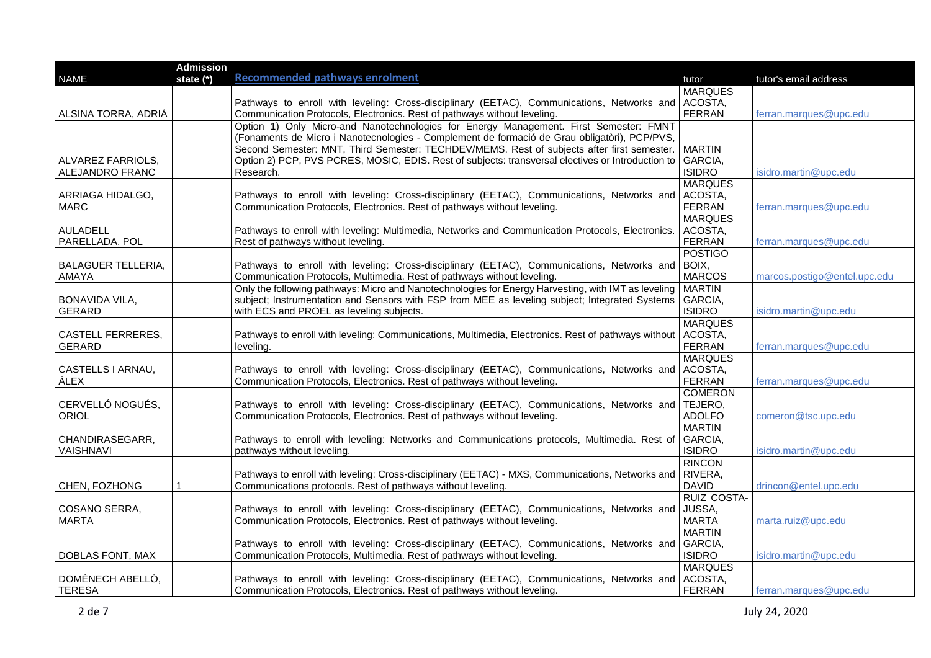| tutor's email address        |
|------------------------------|
|                              |
|                              |
|                              |
| ferran.marques@upc.edu       |
|                              |
|                              |
|                              |
| isidro.martin@upc.edu        |
|                              |
|                              |
| ferran.marques@upc.edu       |
|                              |
|                              |
| ferran.marques@upc.edu       |
|                              |
|                              |
| marcos.postigo@entel.upc.edu |
|                              |
|                              |
| isidro.martin@upc.edu        |
|                              |
|                              |
| ferran.marques@upc.edu       |
|                              |
|                              |
| ferran.marques@upc.edu       |
|                              |
|                              |
| comeron@tsc.upc.edu          |
|                              |
|                              |
| isidro.martin@upc.edu        |
|                              |
|                              |
| drincon@entel.upc.edu        |
|                              |
|                              |
| marta.ruiz@upc.edu           |
|                              |
|                              |
| isidro.martin@upc.edu        |
|                              |
|                              |
| ferran.marques@upc.edu       |
|                              |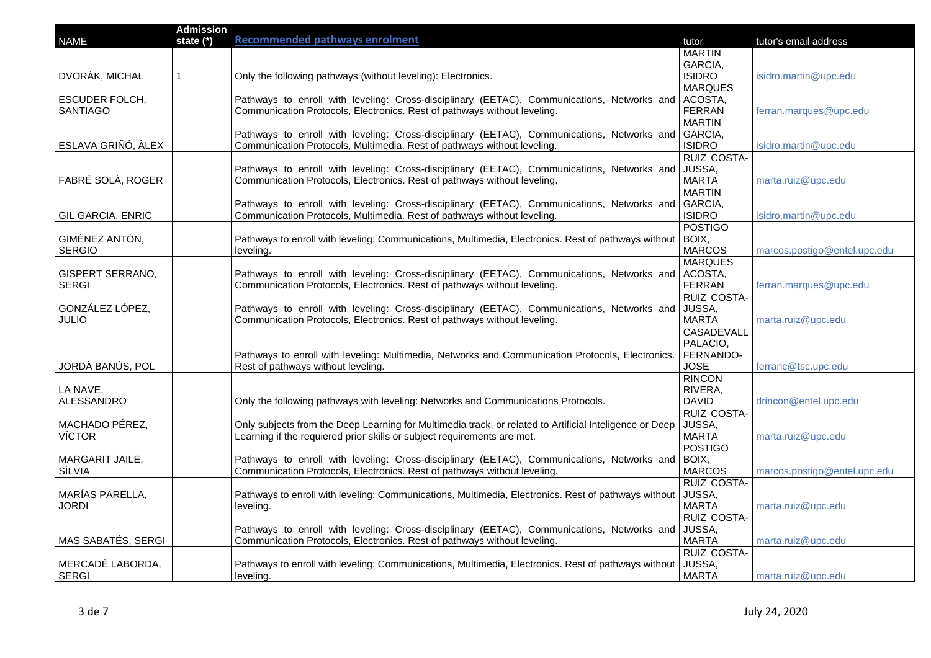|                          | <b>Admission</b> |                                                                                                         |                    |                              |
|--------------------------|------------------|---------------------------------------------------------------------------------------------------------|--------------------|------------------------------|
| <b>NAME</b>              | state (*)        | <b>Recommended pathways enrolment</b>                                                                   | tutor              | tutor's email address        |
|                          |                  |                                                                                                         | <b>MARTIN</b>      |                              |
|                          |                  |                                                                                                         | GARCIA,            |                              |
| DVORÁK, MICHAL           |                  | Only the following pathways (without leveling): Electronics.                                            | <b>ISIDRO</b>      | isidro.martin@upc.edu        |
|                          |                  |                                                                                                         | <b>MARQUES</b>     |                              |
| ESCUDER FOLCH,           |                  | Pathways to enroll with leveling: Cross-disciplinary (EETAC), Communications, Networks and              | ACOSTA,            |                              |
| <b>SANTIAGO</b>          |                  | Communication Protocols, Electronics. Rest of pathways without leveling.                                | <b>FERRAN</b>      | ferran.marques@upc.edu       |
|                          |                  |                                                                                                         | <b>MARTIN</b>      |                              |
|                          |                  | Pathways to enroll with leveling: Cross-disciplinary (EETAC), Communications, Networks and              | GARCIA,            |                              |
| ESLAVA GRIÑÓ, ÀLEX       |                  | Communication Protocols, Multimedia. Rest of pathways without leveling.                                 | <b>ISIDRO</b>      | isidro.martin@upc.edu        |
|                          |                  |                                                                                                         | <b>RUIZ COSTA-</b> |                              |
|                          |                  | Pathways to enroll with leveling: Cross-disciplinary (EETAC), Communications, Networks and              | JUSSA,             |                              |
| FABRÉ SOLÀ, ROGER        |                  | Communication Protocols, Electronics. Rest of pathways without leveling.                                | <b>MARTA</b>       | marta.ruiz@upc.edu           |
|                          |                  |                                                                                                         | <b>MARTIN</b>      |                              |
|                          |                  | Pathways to enroll with leveling: Cross-disciplinary (EETAC), Communications, Networks and              | GARCIA,            |                              |
| <b>GIL GARCIA, ENRIC</b> |                  | Communication Protocols, Multimedia. Rest of pathways without leveling.                                 | <b>ISIDRO</b>      | isidro.martin@upc.edu        |
|                          |                  |                                                                                                         | <b>POSTIGO</b>     |                              |
| GIMÉNEZ ANTÓN,           |                  | Pathways to enroll with leveling: Communications, Multimedia, Electronics. Rest of pathways without     | BOIX,              |                              |
| <b>SERGIO</b>            |                  |                                                                                                         | <b>MARCOS</b>      |                              |
|                          |                  | leveling.                                                                                               |                    | marcos.postigo@entel.upc.edu |
|                          |                  |                                                                                                         | <b>MARQUES</b>     |                              |
| <b>GISPERT SERRANO,</b>  |                  | Pathways to enroll with leveling: Cross-disciplinary (EETAC), Communications, Networks and              | ACOSTA,            |                              |
| <b>SERGI</b>             |                  | Communication Protocols, Electronics. Rest of pathways without leveling.                                | <b>FERRAN</b>      | ferran.marques@upc.edu       |
|                          |                  |                                                                                                         | <b>RUIZ COSTA-</b> |                              |
| GONZÁLEZ LÓPEZ,          |                  | Pathways to enroll with leveling: Cross-disciplinary (EETAC), Communications, Networks and              | JUSSA.             |                              |
| JULIO                    |                  | Communication Protocols, Electronics. Rest of pathways without leveling.                                | <b>MARTA</b>       | marta.ruiz@upc.edu           |
|                          |                  |                                                                                                         | <b>CASADEVALL</b>  |                              |
|                          |                  |                                                                                                         | PALACIO,           |                              |
|                          |                  | Pathways to enroll with leveling: Multimedia, Networks and Communication Protocols, Electronics.        | FERNANDO-          |                              |
| JORDÀ BANÚS, POL         |                  | Rest of pathways without leveling.                                                                      | <b>JOSE</b>        | ferranc@tsc.upc.edu          |
|                          |                  |                                                                                                         | <b>RINCON</b>      |                              |
| LA NAVE,                 |                  |                                                                                                         | RIVERA,            |                              |
| ALESSANDRO               |                  | Only the following pathways with leveling: Networks and Communications Protocols.                       | <b>DAVID</b>       | drincon@entel.upc.edu        |
|                          |                  |                                                                                                         | <b>RUIZ COSTA-</b> |                              |
| MACHADO PÉREZ,           |                  | Only subjects from the Deep Learning for Multimedia track, or related to Artificial Inteligence or Deep | JUSSA,             |                              |
| <b>VÍCTOR</b>            |                  | Learning if the requiered prior skills or subject requirements are met.                                 | <b>MARTA</b>       | marta.ruiz@upc.edu           |
|                          |                  |                                                                                                         | <b>POSTIGO</b>     |                              |
| MARGARIT JAILE,          |                  | Pathways to enroll with leveling: Cross-disciplinary (EETAC), Communications, Networks and              | BOIX,              |                              |
| SÍLVIA                   |                  | Communication Protocols, Electronics. Rest of pathways without leveling.                                | <b>MARCOS</b>      | marcos.postigo@entel.upc.edu |
|                          |                  |                                                                                                         | <b>RUIZ COSTA-</b> |                              |
| MARÍAS PARELLA,          |                  | Pathways to enroll with leveling: Communications, Multimedia, Electronics. Rest of pathways without     | JUSSA,             |                              |
| <b>JORDI</b>             |                  | leveling.                                                                                               | <b>MARTA</b>       | marta.ruiz@upc.edu           |
|                          |                  |                                                                                                         | <b>RUIZ COSTA-</b> |                              |
|                          |                  | Pathways to enroll with leveling: Cross-disciplinary (EETAC), Communications, Networks and              | JUSSA,             |                              |
| MAS SABATÉS, SERGI       |                  | Communication Protocols, Electronics. Rest of pathways without leveling.                                | <b>MARTA</b>       | marta.ruiz@upc.edu           |
|                          |                  |                                                                                                         | RUIZ COSTA-        |                              |
| MERCADÉ LABORDA,         |                  | Pathways to enroll with leveling: Communications, Multimedia, Electronics. Rest of pathways without     | JUSSA,             |                              |
| <b>SERGI</b>             |                  | leveling.                                                                                               | <b>MARTA</b>       | marta.ruiz@upc.edu           |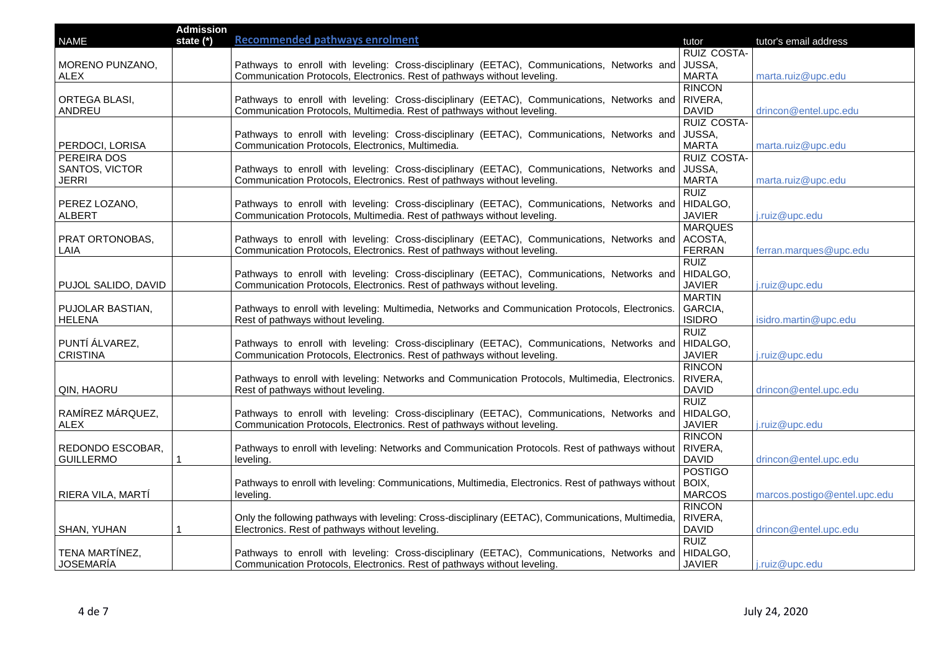|                     | <b>Admission</b> |                                                                                                     |                    |                              |
|---------------------|------------------|-----------------------------------------------------------------------------------------------------|--------------------|------------------------------|
| <b>NAME</b>         | state (*)        | <b>Recommended pathways enrolment</b>                                                               | tutor              | tutor's email address        |
|                     |                  |                                                                                                     | <b>RUIZ COSTA-</b> |                              |
| MORENO PUNZANO,     |                  | Pathways to enroll with leveling: Cross-disciplinary (EETAC), Communications, Networks and          | JUSSA,             |                              |
| ALEX                |                  | Communication Protocols, Electronics. Rest of pathways without leveling.                            | <b>MARTA</b>       | marta.ruiz@upc.edu           |
|                     |                  |                                                                                                     | <b>RINCON</b>      |                              |
| ORTEGA BLASI,       |                  | Pathways to enroll with leveling: Cross-disciplinary (EETAC), Communications, Networks and RIVERA,  |                    |                              |
| ANDREU              |                  | Communication Protocols, Multimedia. Rest of pathways without leveling.                             | <b>DAVID</b>       | drincon@entel.upc.edu        |
|                     |                  |                                                                                                     | <b>RUIZ COSTA-</b> |                              |
|                     |                  | Pathways to enroll with leveling: Cross-disciplinary (EETAC), Communications, Networks and          | JUSSA,             |                              |
| PERDOCI, LORISA     |                  | Communication Protocols, Electronics, Multimedia.                                                   | <b>MARTA</b>       | marta.ruiz@upc.edu           |
| PEREIRA DOS         |                  |                                                                                                     | RUIZ COSTA-        |                              |
| SANTOS, VICTOR      |                  | Pathways to enroll with leveling: Cross-disciplinary (EETAC), Communications, Networks and          | JUSSA,             |                              |
| <b>JERRI</b>        |                  | Communication Protocols, Electronics. Rest of pathways without leveling.                            | <b>MARTA</b>       | marta.ruiz@upc.edu           |
|                     |                  |                                                                                                     | <b>RUIZ</b>        |                              |
| PEREZ LOZANO,       |                  | Pathways to enroll with leveling: Cross-disciplinary (EETAC), Communications, Networks and          | HIDALGO,           |                              |
| <b>ALBERT</b>       |                  | Communication Protocols, Multimedia. Rest of pathways without leveling.                             | <b>JAVIER</b>      | j.ruiz@upc.edu               |
|                     |                  |                                                                                                     | <b>MARQUES</b>     |                              |
| PRAT ORTONOBAS,     |                  | Pathways to enroll with leveling: Cross-disciplinary (EETAC), Communications, Networks and          | ACOSTA,            |                              |
| LAIA                |                  | Communication Protocols, Electronics. Rest of pathways without leveling.                            | <b>FERRAN</b>      | ferran.marques@upc.edu       |
|                     |                  |                                                                                                     | <b>RUIZ</b>        |                              |
|                     |                  | Pathways to enroll with leveling: Cross-disciplinary (EETAC), Communications, Networks and          | HIDALGO,           |                              |
| PUJOL SALIDO, DAVID |                  | Communication Protocols, Electronics. Rest of pathways without leveling.                            | <b>JAVIER</b>      | j.ruiz@upc.edu               |
|                     |                  |                                                                                                     | <b>MARTIN</b>      |                              |
| PUJOLAR BASTIAN,    |                  | Pathways to enroll with leveling: Multimedia, Networks and Communication Protocols, Electronics.    | GARCIA,            |                              |
| <b>HELENA</b>       |                  | Rest of pathways without leveling.                                                                  | <b>ISIDRO</b>      | isidro.martin@upc.edu        |
|                     |                  |                                                                                                     | <b>RUIZ</b>        |                              |
| PUNTÍ ÁLVAREZ,      |                  | Pathways to enroll with leveling: Cross-disciplinary (EETAC), Communications, Networks and          | HIDALGO,           |                              |
| <b>CRISTINA</b>     |                  | Communication Protocols, Electronics. Rest of pathways without leveling.                            | <b>JAVIER</b>      | j.ruiz@upc.edu               |
|                     |                  |                                                                                                     | <b>RINCON</b>      |                              |
|                     |                  | Pathways to enroll with leveling: Networks and Communication Protocols, Multimedia, Electronics.    | RIVERA,            |                              |
| QIN, HAORU          |                  | Rest of pathways without leveling.                                                                  | <b>DAVID</b>       | drincon@entel.upc.edu        |
|                     |                  |                                                                                                     | <b>RUIZ</b>        |                              |
| RAMÍREZ MÁRQUEZ,    |                  | Pathways to enroll with leveling: Cross-disciplinary (EETAC), Communications, Networks and          | HIDALGO,           |                              |
| <b>ALEX</b>         |                  | Communication Protocols, Electronics. Rest of pathways without leveling.                            | <b>JAVIER</b>      | j.ruiz@upc.edu               |
|                     |                  |                                                                                                     | <b>RINCON</b>      |                              |
| REDONDO ESCOBAR,    |                  | Pathways to enroll with leveling: Networks and Communication Protocols. Rest of pathways without    | RIVERA,            |                              |
| <b>GUILLERMO</b>    |                  | leveling.                                                                                           | <b>DAVID</b>       | drincon@entel.upc.edu        |
|                     |                  |                                                                                                     | <b>POSTIGO</b>     |                              |
|                     |                  | Pathways to enroll with leveling: Communications, Multimedia, Electronics. Rest of pathways without | BOIX,              |                              |
| RIERA VILA, MARTÍ   |                  | leveling.                                                                                           | <b>MARCOS</b>      | marcos.postigo@entel.upc.edu |
|                     |                  |                                                                                                     | <b>RINCON</b>      |                              |
|                     |                  | Only the following pathways with leveling: Cross-disciplinary (EETAC), Communications, Multimedia,  | RIVERA,            |                              |
| SHAN, YUHAN         |                  | Electronics. Rest of pathways without leveling.                                                     | <b>DAVID</b>       | drincon@entel.upc.edu        |
|                     |                  |                                                                                                     | <b>RUIZ</b>        |                              |
| TENA MARTÍNEZ,      |                  | Pathways to enroll with leveling: Cross-disciplinary (EETAC), Communications, Networks and HIDALGO, |                    |                              |
| JOSEMARÍA           |                  | Communication Protocols, Electronics. Rest of pathways without leveling.                            | <b>JAVIER</b>      | j.ruiz@upc.edu               |
|                     |                  |                                                                                                     |                    |                              |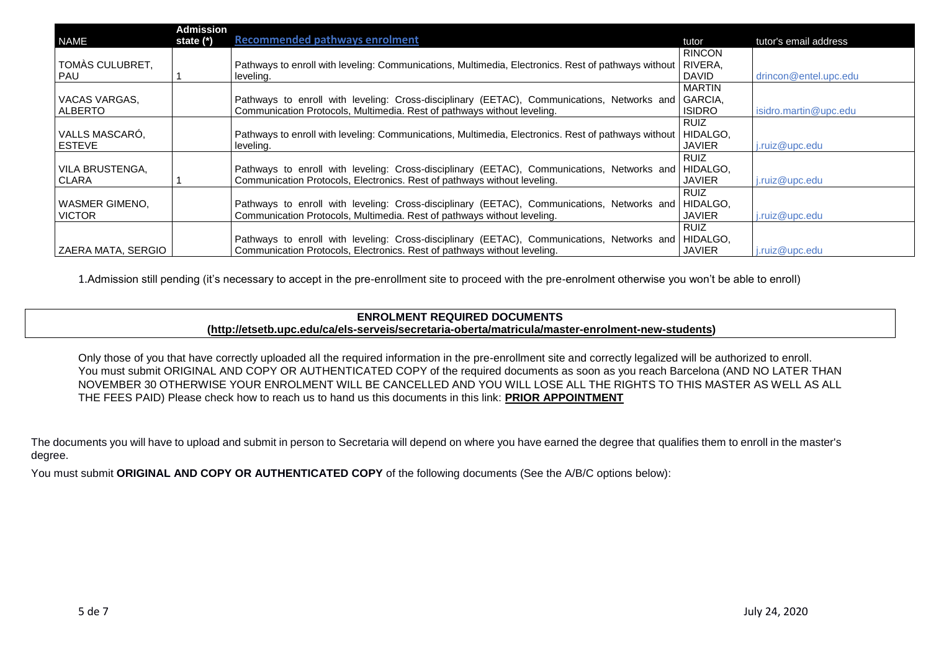|                    | <b>Admission</b> |                                                                                                     |               |                       |
|--------------------|------------------|-----------------------------------------------------------------------------------------------------|---------------|-----------------------|
| <b>NAME</b>        | state (*)        | <b>Recommended pathways enrolment</b>                                                               | tutor         | tutor's email address |
|                    |                  |                                                                                                     | <b>RINCON</b> |                       |
| TOMÀS CULUBRET,    |                  | Pathways to enroll with leveling: Communications, Multimedia, Electronics. Rest of pathways without | RIVERA,       |                       |
| <b>PAU</b>         |                  | leveling.                                                                                           | <b>DAVID</b>  | drincon@entel.upc.edu |
|                    |                  |                                                                                                     | <b>MARTIN</b> |                       |
| VACAS VARGAS,      |                  | Pathways to enroll with leveling: Cross-disciplinary (EETAC), Communications, Networks and          | GARCIA,       |                       |
| <b>ALBERTO</b>     |                  | Communication Protocols, Multimedia. Rest of pathways without leveling.                             | <b>ISIDRO</b> | isidro.martin@upc.edu |
|                    |                  |                                                                                                     | <b>RUIZ</b>   |                       |
| VALLS MASCARÓ,     |                  | Pathways to enroll with leveling: Communications, Multimedia, Electronics. Rest of pathways without | HIDALGO,      |                       |
| <b>ESTEVE</b>      |                  | leveling.                                                                                           | <b>JAVIER</b> | j.ruiz@upc.edu        |
|                    |                  |                                                                                                     | <b>RUIZ</b>   |                       |
| VILA BRUSTENGA,    |                  | Pathways to enroll with leveling: Cross-disciplinary (EETAC), Communications, Networks and          | HIDALGO,      |                       |
| <b>CLARA</b>       |                  | Communication Protocols, Electronics. Rest of pathways without leveling.                            | <b>JAVIER</b> | j.ruiz@upc.edu        |
|                    |                  |                                                                                                     | <b>RUIZ</b>   |                       |
| WASMER GIMENO.     |                  | Pathways to enroll with leveling: Cross-disciplinary (EETAC), Communications, Networks and          | HIDALGO.      |                       |
| <b>VICTOR</b>      |                  | Communication Protocols, Multimedia. Rest of pathways without leveling.                             | <b>JAVIER</b> | j.ruiz@upc.edu        |
|                    |                  |                                                                                                     | RUIZ          |                       |
|                    |                  | Pathways to enroll with leveling: Cross-disciplinary (EETAC), Communications, Networks and          | HIDALGO,      |                       |
| ZAERA MATA, SERGIO |                  | Communication Protocols, Electronics. Rest of pathways without leveling.                            | <b>JAVIER</b> | j.ruiz@upc.edu        |

1.Admission still pending (it's necessary to accept in the pre-enrollment site to proceed with the pre-enrolment otherwise you won't be able to enroll)

# **ENROLMENT REQUIRED DOCUMENTS [\(http://etsetb.upc.edu/ca/els-serveis/secretaria-oberta/matricula/master-enrolment-new-students\)](http://etsetb.upc.edu/ca/els-serveis/secretaria-oberta/matricula/master-enrolment-new-students)**

Only those of you that have correctly uploaded all the required information in the pre-enrollment site and correctly legalized will be authorized to enroll. You must submit ORIGINAL AND COPY OR AUTHENTICATED COPY of the required documents as soon as you reach Barcelona (AND NO LATER THAN NOVEMBER 30 OTHERWISE YOUR ENROLMENT WILL BE CANCELLED AND YOU WILL LOSE ALL THE RIGHTS TO THIS MASTER AS WELL AS ALL THE FEES PAID) Please check how to reach us to hand us this documents in this link: **[PRIOR APPOINTMENT](https://telecos.upc.edu/ca/els-serveis/secretaria-oberta/cita-previa)**

The documents you will have to upload and submit in person to Secretaria will depend on where you have earned the degree that qualifies them to enroll in the master's degree.

You must submit **ORIGINAL AND COPY OR AUTHENTICATED COPY** of the following documents (See the A/B/C options below):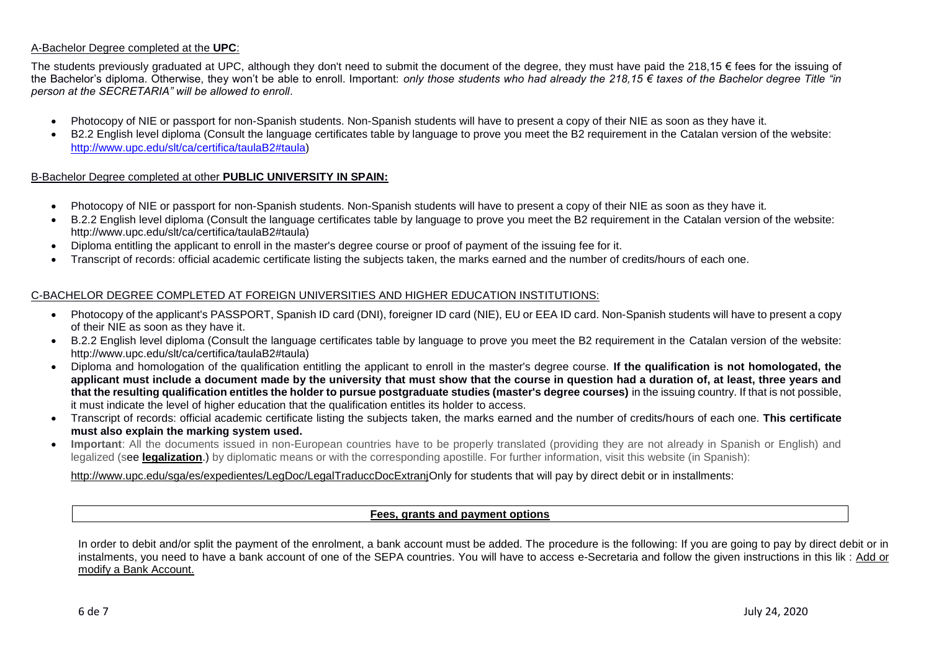### A-Bachelor Degree completed at the **UPC**:

The students previously graduated at UPC, although they don't need to submit the document of the degree, they must have paid the 218,15  $\epsilon$  fees for the issuing of the Bachelor's diploma. Otherwise, they won't be able to enroll. Important: *only those students who had already the 218,15 € taxes of the Bachelor degree Title "in person at the SECRETARIA" will be allowed to enroll*.

- Photocopy of NIE or passport for non-Spanish students. Non-Spanish students will have to present a copy of their NIE as soon as they have it.
- B2.2 English level diploma (Consult the language certificates table by language to prove you meet the B2 requirement in the Catalan version of the website: [http://www.upc.edu/slt/ca/certifica/taulaB2#taula\)](http://www.upc.edu/slt/ca/certifica/taulaB2#taula)

### B-Bachelor Degree completed at other **PUBLIC UNIVERSITY IN SPAIN:**

- Photocopy of NIE or passport for non-Spanish students. Non-Spanish students will have to present a copy of their NIE as soon as they have it.
- B.2.2 English level diploma (Consult the language certificates table by language to prove you meet the B2 requirement in the Catalan version of the website: http://www.upc.edu/slt/ca/certifica/taulaB2#taula)
- Diploma entitling the applicant to enroll in the master's degree course or proof of payment of the issuing fee for it.
- Transcript of records: official academic certificate listing the subjects taken, the marks earned and the number of credits/hours of each one.

### C-BACHELOR DEGREE COMPLETED AT FOREIGN UNIVERSITIES AND HIGHER EDUCATION INSTITUTIONS:

- Photocopy of the applicant's PASSPORT, Spanish ID card (DNI), foreigner ID card (NIE), EU or EEA ID card. Non-Spanish students will have to present a copy of their NIE as soon as they have it.
- B.2.2 English level diploma (Consult the language certificates table by language to prove you meet the B2 requirement in the Catalan version of the website: http://www.upc.edu/slt/ca/certifica/taulaB2#taula)
- Diploma and homologation of the qualification entitling the applicant to enroll in the master's degree course. **If the qualification is not homologated, the applicant must include a document made by the university that must show that the course in question had a duration of, at least, three years and that the resulting qualification entitles the holder to pursue postgraduate studies (master's degree courses)** in the issuing country. If that is not possible, it must indicate the level of higher education that the qualification entitles its holder to access.
- Transcript of records: official academic certificate listing the subjects taken, the marks earned and the number of credits/hours of each one. **This certificate must also explain the marking system used.**
- **Important**: All the documents issued in non-European countries have to be properly translated (providing they are not already in Spanish or English) and legalized (see **[legalization](https://translate.google.es/translate?sl=ca&tl=en&js=y&prev=_t&hl=es&ie=UTF-8&u=http%3A%2F%2Fwww.upc.edu%2Fsga%2Fca%2Fexpedient%2FLegalitzacioDocuments%2FLegalitzacioTraduccioDocumentsEstrangers&edit-text=)**.) by diplomatic means or with the corresponding apostille. For further information, visit this website (in Spanish):

## [http://www.upc.edu/sga/es/expedientes/LegDoc/LegalTraduccDocExtranjO](http://www.upc.edu/sga/es/expedientes/LegDoc/LegalTraduccDocExtranj)nly for students that will pay by direct debit or in installments:

#### **[Fees, grants and payment options](https://www.upc.edu/en/masters/fees-grants)**

In order to debit and/or split the payment of the enrolment, a bank account must be added. The procedure is the following: If you are going to pay by direct debit or in instalments, you need to have a bank account of one of the SEPA countries. You will have to access e-Secretaria and follow the given instructions in this lik : [Add or](https://telecos.upc.edu/ca/els-serveis/secretaria-oberta/matricula/afegir-o-modificar-compte-corrent#section-2)  [modify a Bank Account.](https://telecos.upc.edu/ca/els-serveis/secretaria-oberta/matricula/afegir-o-modificar-compte-corrent#section-2)